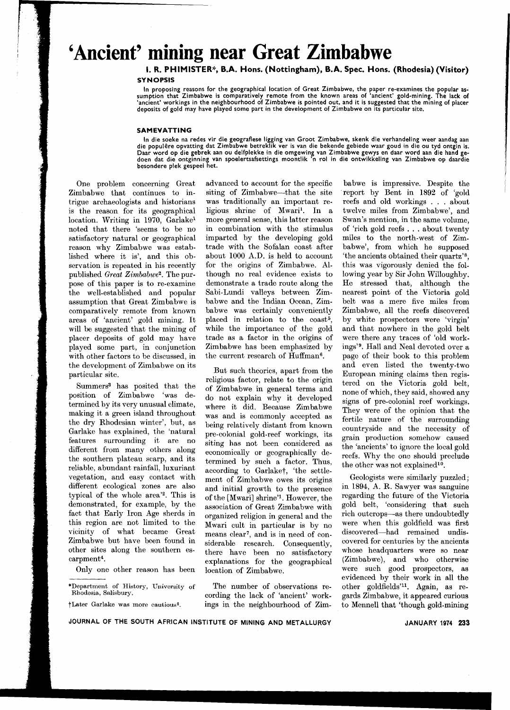## **'Ancient' mining near Great Zimbabwe**

## I. R. PHIMISTER\*. B.A. Hons. (Nottingham). B.A. Spec. Hons. (Rhodesia) (Visitor) **SYNOPSIS**

In proposing reasons for the geographical location of Great Zimbabwe, the paper re-examines the popular as-sumption that Zimbabwe is comparatively remote from the known areas of 'ancient' gold-mining. The lack of 'ancient' workings in the neighbourhood of Zimbabwe is pointed out, and it is suggested that the mining of placer deposits of gold may have played some part in the development of Zimbabwe on its particular site.

## SAMEVATTING

In die soeke na redes vir die geografiese ligging van Groot Zimbabwe, skenk die verhandeling weer aandag aan die populêre opvatting dat Zimbabwe betreklik ver is van die bekende gebiede waar goud in die ou tyd ontgin is<br>Daar word op die gebrek aan ou delfplekke in die omgewing van Zimbabwe gewys en daar word aan die hand ge-<br>doen besondere plek gespeel het.

.

One problem concerning Great Zimbabwe that continues to intrigue archaeologists and historians is the reason for its geographical location. Writing in 1970, Garlakei noted that there 'seems to be no satisfactory natural or geographical reason why Zimbabwe was established where it is', and this observation is repeated in his recently published *Great Zimbabwe2.* The purpose of this paper is to re-examine the well-established and popular assumption that Great Zimbabwe is comparatively remote from known areas of 'ancient' gold mining. It will be suggested that the mining of placer deposits of gold may have played some part, in conjunction with other factors to be discussed, in the development of Zimbabwe on its particular site.

Summers3 has posited that the position of Zimbabwe 'was determined by its very unusual climate, making it a green island throughout the dry Rhodesian winter', but, as Garlake has explained, the 'natural features surrounding it are no different from many others along the southern plateau scarp, and its reliable, abundant rainfall, luxuriant vegetation, and easy contact with different ecological zones are also typical of the whole area'2. This is demonstrated, for example, by the fact that Early Iron Age sherds in this region are not limited to the vicinity of what became Great Zimbabwe but have been found in other sites along the southern escarpment4.

Only one other reason has been

\*Department of History, University of Rhodesia, Salisbury.

tLater Garlake was more cautious".

advanced to account for the specific siting of Zimbabwe—that the site was traditionally an important religious shrine of Mwaril. In a more general sense, this latter reason in combination with the stimulus imparted by the developing gold trade with the Sofalan coast after about 1000 *A.D.* is held to account for the origins of Zimbabwe. Although no real evidence exists to demonstrate a trade route along the Sabi-Lundi valleys between Zimbabwe and the Indian Ocean, Zimbabwe was certainly conveniently placed in relation to the coast<sup>5</sup>, while the importance of the gold trade as a factor in the origins of Zimbabwe has been emphasized by the current research of Huffman<sup>6</sup>.

But such theories, apart from the religious factor, relate to the origin of Zimbabwe in general terms and do not explain why it developed where it did. Because Zimbabwe was and is commonly accepted as being relatively distant from known pre-colonial gold-reef workings, its siting has not been considered as economically or geographically determined by such a factor. Thus, according to Garlaket, 'the settlement of Zimbabwe owes its origins and initial growth to the presence of the [MwariJ shrine'i. However, the association of Great Zimbabwe with organized religion in general and the Mwari cult in particular is by no means clear<sup>7</sup>, and is in need of considerable research. Consequently, there have been no satisfactory explanations for the geographical location of Zimbabwe.

The number of observations recording the lack of 'ancient' workings in the neighbourhood of Zim-

babwe is impressive. Despite the report by Bent in 1892 of 'gold reefs and old workings. . . about twelve miles from Zimbabwe', and Swan's mention, in the same volume, of 'rich gold reefs. . . about twenty miles to the north-west of Zimbabwe', from which he supposed 'the ancients obtained their quartz'S, this was vigorously denied the following year by Sir John Willoughby. He stressed that, although the nearest point of the Victoria gold belt was a mere five miles from Zimbabwe, all the reefs discovered by white prospectors were 'virgin' and that nowhere in the gold belt were there any traces of 'old workings'9. Hall and Neal devoted over a page of their book to this problem and even listed the twenty-two European mining claims then registered on the Victoria gold belt, none of which, they said, showed any signs of pre-colonial reef workings. They were of the opinion that the fertile nature of the surrounding countryside and the necessity of grain production somehow caused the 'ancients' to ignore the local gold reefs. Why the one should preclude the other was not explained<sup>10</sup>.

Geologists were similarly puzzled; in 1894, A. R. Sawyer was sanguine regarding the future of the Victoria gold belt, 'considering that such rich outcrops-as there undoubtedly were when this goldfield was first discovered-had remained undiscovered for centuries by the ancients whose headquarters were so near (Zimbabwe), and who otherwise were such good prospectors, as evidenced by their work in all the other goldfields'H. Again, as regards Zimbabwe, it appeared curious to Mennell that 'though gold-mining

JOURNAL OF THE SOUTH AFRICAN INSTITUTE OF MINING AND METALLURGY

JANUARY 1974 233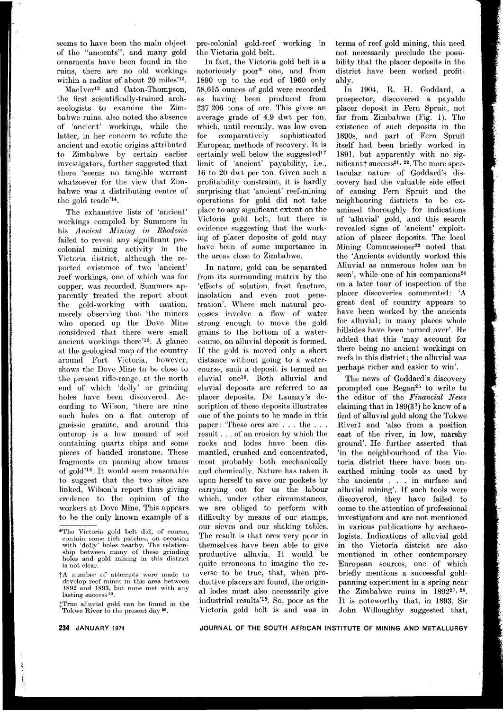seems to have been the main object of the "ancients", and many gold ornaments have been found in the ruins, there are no old workings within a radius of about 20 miles'12.

MacIver13 and Caton-Thompson, the first scientifically-trained archaeologists to examine the Zimbabwe ruins, also noted the absence of 'ancient' workings, while the latter, in her concern to refute the ancient and exotic origins attributed to Zimbabwe by certain earlier investigators, further suggested that there 'seems no tangible warrant whatsoever for the view that Zimbabwe was a distributing centre of the gold trade'14.

The exhaustive lists of 'ancient' workings compiled by Summers in his *Ancient Mining in Rhodesia* failed to reveal any significant precolonial mining activity in the Victoria district, although the reported existence of two 'ancient' reef workings, one of which was for copper, was recorded. Summers apparently treated the report about the gold-working with caution, merely observing that 'thc miners who opened up the Dove Mine considered that there were small ancient workings there'15. A glance at the geological map of the country around Fort Victoria, however, shows the Dove Mine to be close to the present rifle-range, at the north end of which 'dolly' or grinding holes have been discovered. According to Wilson, 'there are nine such holes on a flat outcrop of gneissic granite, and around this outcrop is a low mound of soil containing quartz chips and some pieces of banded ironstone. These fragments on panning show traces of gold'16. It would seem reasonable to suggest that the two sites are linked, Wilson's report thus giving credence to the opinion of the workers at Dove Mine. This appears to be the only known example of a

pre-colonial gold-reef working in the Victoria gold belt.

In fact, the Victoria gold belt is a notoriously poor\* one, and from 1890 up to the end of 1960 only 58,615 ounces of gold were recorded as having been produced from 237 206 tons of ore. This gives an average grade of 4,9 dwt per ton, which, until recently, was low even for comparatively sophisticated European methods of recovery. It is certainly well below the suggested $17$ limit of 'ancient' payability, i.e., 16 to 20 dwt per ton. Given such a profitability constraint, it is hardly surprising that 'ancient' reef-mining operations for gold did not take place to any significant extent on the Victoria gold belt, but there is evidence suggesting that the working of placer deposits of gold may have been of some importance in the areas close to Zimbabwe.

In nature, gold can be separated from its surrounding matrix by the 'effects of solution, frost fracture, insolation and even root penetration'. Where such natural processes involve a flow of water strong enough to move the gold grains to the bottom of a watercourse, an alluvial deposit is formed. If the gold is moved only a short distance without going to a watercourse, such a deposit is termed an eluvial one18. Both alluvial and eluvial deposits are referred to as placer deposits. De Launay's description of these deposits illustrates one of the points to be made in this paper: 'These ores are . . . the . . . result. . . of an erosion by which the rocks and lodes have been dismantled, crushed and concentrated, most probably both mechanically and chemically. Nature has taken it upon herself to save our pockets by carrying out for us the labour which, under other circumstances, we are obliged to perform with difficulty by means of our stamps, our sieves and our shaking tables. The result is that ores very poor in themselves have been able to give productive alluvia. It would be quite erroneous to imagine the reverse to be true, that, when productive placers are found, the original lodes must also necessarily give industrial results'19. So, poor as the Victoria gold belt is and was in terms of reef gold mining, this need not necessarily preclude the possibility that the placer deposits in the district have been worked profitably.

In 1904, R. H. Goddard, a prospector, discovered a payable placer deposit in Fern Spruit, not far from Zimbabwe (Fig. 1). The existence of such deposits in the 1890s, and part of Fern Spruit itself had been briefly worked in 1891, but apparently with no significant $\dagger$  success<sup>21, 22</sup>. The more spectacular nature of Goddard's dis- . covery had the valuable side effect of causing Fern Spruit and the neighbouring districts to be examined thoroughly for indications of 'alluvial' gold, and this search revealed signs of 'ancient' exploitation of placer deposits. The local Mining Commissioner<sup>23</sup> noted that the 'Ancients evidently worked this Alluvial as numerous holes can be seen', while one of his companions<sup>24</sup> on a later tour of inspection of the placer discoveries commented: 'A great deal of country appears to have been worked by the ancients for alluvial; in many places whole hillsides have been turned over'. He added that this 'may account for there being no ancient workings on reefs in this district; the alluvial was perhaps richer and easier to win'.

The news of Goddard's discovery prompted one Regan25 to write to the editor of the Financial News claiming that in 189(3?) he knew of a find of alluvial gold along the Tokwe River<sup>†</sup> and 'also from a position east of the river, in low, marshy ground'. He further asserted that 'in the neighbourhood of the Victoria district there have been unearthed mining tools as used by the ancients . . . in surface and alluvial mining'. If such tools were discovered, they have failed to come to the attention of professional investigators and are not mentioned in various publications by archaeologists. Indications of alluvial gold in the Victoria district are also mentioned in other contemporary European sources, one of which briefly mentions a successful goldpanning experiment in a spring near the Zimbabwe ruins in 1892<sup>27, 28</sup>. It is noteworthy that, in 1893, Sir John Willoughby suggested that,

**JOURNAL.. OF THE SOUTH AFRICAN INSTITUTE OF MINING AND METAL..L..URGY**

<sup>\*</sup>The Victoria gold belt did, of course, contain some rich patches, on occasio<br>with 'dolly' holes nearby. The relatio ship between many of these grinding holes and gold mining in this distri is not clear.

t<sup>A</sup> number of attempts were made to develop reef mines in this area between 1892 and 1893, but none met with an<br>lasting success<sup>20</sup>.

tTrue alluvial gold can be found in the Tokwe River to the present day 26.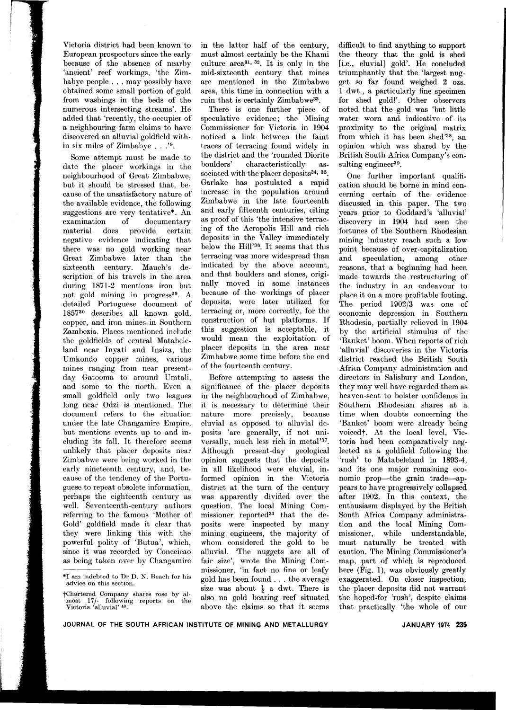Victoria district had been known to European prospectors since the early because of the absence of nearby 'ancient' reef workings, 'the Zimbabye people. . . may possibly have 0btained some small portion of gold from washings in the beds of the numerous intersecting streams'. He added that 'recently, the occupier of a neighbouring farm claims to have discovered an alluvial goldfield within six miles of Zimbabye . . .'9.

Some attempt must be made to date the placer workings in the neighbourhood of Great Zimbabwe, but it should be stressed that, because of the unsatisfactory nature of the available evidence, the following suggestions are very tentative\*. An examination of documentary material does provide certain negative evidence indicating that there was no gold working near Great Zimbabwe later than the sixteenth century. Mauch's description of his travels in the area during 1871-2 mentions iron but not gold mining in progress<sup>29</sup>. A detailed Portuguese document of 185730 describes all known gold, copper, and iron mines in Southern Zambezia. Places mentioned include the goldfields of central Matabeleland near Inyati and Insiza, the Umkondo copper mines, various mines ranging from near presentday Gatooma to around Umtali, and some to the north. Even a small goldfield only two leagues long near Odzi is mentioned. The document refers to the situation under the late Changamire Empire, but mentions events up to and including its fall. It therefore seems unlikely that placer deposits near Zimbabwe were being worked in the early nineteenth century, and, because of the tendency of the Portuguese to repeat obsolete information, perhaps the eighteenth century as well. Seventeenth-century authors referring to the famous 'Mother of Gold' goldfield made it clear that they were linking this with the powerful polity of 'Butua', which, since it was recorded by Conceicao as being taken over by Changamire

\*1 am indebted to Dr D. N. Beach for his advice on this section.

in the latter half of the century, must almost certainly be the Khami culture area31,32. It is only in the mid-sixteenth century that mines are mentioned in the Zimbabwe area, this time in connection with a ruin that is certainly Zimbabwe33.

There is one further piece of speculative evidence; the Mining Commissioner for Victoria in 1904 noticed a link between the faint traces of terracing found widely in the district and the 'rounded Diorite boulders' characteristically associated with the placer deposits<sup>34, 35</sup>. Garlake has postulated a rapid increase in the population around Zimbabwe in the late fourteenth and early fifteenth centuries, citing as proof of this 'the intensive terracing of the Acropolis Hill and rich deposits in the Valley immediately below the Hill'36. It seems that this terracing was more widespread than indicated by the above account, and that boulders and stones, originally moved in some instances because of the workings of placer deposits, were later utilized for terracing or, more correctly, for the construction of hut platforms. If this suggestion is acceptable, it would mean the exploitation of placer deposits in the area near Zimbabwe some time before the end of the fourteenth century.

Before attempting to assess the significance of the placer deposits in the neighbourhood of Zimbabwe, it is necessary to determine their nature more precisely, because eluvial as opposed to alluvial deposits 'are generally, if not universally, much less rich in metal'37. Although present-day geological opinion suggests that the deposits in all likelihood were eluvial, informed opinion in the Victoria district at the turn of the century was apparently divided over the question. The local Mining Commissioner reported<sup>34</sup> that the deposits were inspected by many mining engineers, the majority of whom considered the gold to be alluvial. 'The nuggets are all of fair size', wrote the Mining Commissioner, 'in fact no fine or leafy gold has been found. . . the average size was about  $\frac{1}{2}$  a dwt. There is also no gold bearing reef situated above the claims so that it seems

difficult to find anything to support the theory that the gold is shed [i.e., eluvial] gold'. He concluded triumphantly that the 'largest nugget so far found weighed 2 ozs. 1 dwt., a particularly fine specimen for shed gold!'. Other observers noted that the gold was 'but little water worn and indicative of its proximity to the original matrix from which it has been shed'38, an opinion which was shared by the British South Africa Company's con. sulting engineer<sup>39</sup>.

One further important qualifi- ,cation should be borne in mind concerning certain of the evidence discussed in this paper. The two years prior to Goddard's 'alluvial' discovery in 1904 had seen the fortunes of the Southern Rhodesian mining industry reach such a low point because of over-capitalization and speculation, among other reasons, that a beginning had been made towards the restructuring of the industry in an endeavour to place it on a more profitable footing. The period 1902/3 was one of economic depression in Southern Rhodesia, partially relieved in 1904 by the artificial stimulus of the 'Banket' boom. When reports of rich 'alluvial' discoveries in the Victoria district reached the British South Africa Company administration and directors in Salisbury and London, they may well have regarded them as heaven-sent to bolster confidence in Southern Rhodesian shares at a time when doubts concerning the 'Banket' boom were already being voiced†. At the local level, Victoria had been comparatively neglected as a goldfield following the 'rush' to Matabeleland in 1893-4, and its one major remaining economic prop-the grain trade-appears to have progressively collapsed after 1902. In this context, the enthusiasm displayed by the British South Africa Company administration and the local Mining Commissioner, while understandable, must naturally be treated with caution. The Mining Commissioner's map, part of which is reproduced here (Fig. 1), was obviously greatly exaggerated. On closer inspection, the placer deposits did not warrant the hoped-for 'rush', despite claims that practically 'the whole of our

tChartered Company shares rose by almost 17/- following reports on the Victoria 'alluvial' 40.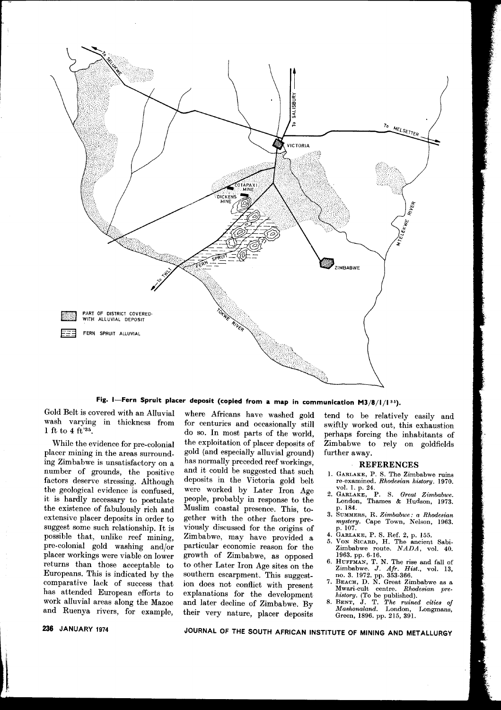

**Fig. I-Fern Spruit placer deposit (copied from a map in communication** M3/8/1/130).

Gold Belt is covered with an Alluvial where Africans have washed gold tend to be relatively easily and

placer mining in the areas surround-<br>ing Zimbabwe is unsatisfactory on a has normally preceded reef workings, ing Zimbabwe is unsatisfactory on <sup>a</sup> has normally preceded reef workings, **REFERENCES** number of grounds, the positive and it could be suggested that such 1. GARLAKE, P. S. The Zimbabwe ruins factors deserve stressing. Although deposits in the Victoria gold belt re-examined. Rhodesian history. 1970. the geological evidence is confused, were worked by Later Iron Age <sup>vol. 1</sup> p. 24.<br>it is hardly necessary to postulate people, probably in response to the London, Thames & Hudson, 1973. the existence of fabulously rich and Muslim coastal presence. This, to-<br>extensive placer deposits in order to gether with the other factors pre-<br>muster extensive placer deposits in order to gether with the other factors pre-<br>suggest some such relationship. It is viously discussed for the origins of p. 107. possible that, unlike reef mining, Zimbabwe, may have provided a <sup>4. GARLAKE</sup>, P. S. Ref. 2, p. 155.<br>pre-colonial gold washing and/or particular economic reason for the Zimbabwe route. *NADA*, vol. 40. placer workings were viable on lower growth of Zimbabwe, as opposed 1963. pp. 6-16.<br>returns than those acceptable to to other Later Iron Age sites on the  $\frac{6. \text{HUPKMAN}}{7. \text{HUPKMAN}}$ . Europeans. This is indicated by the southern escarpment. This suggestcomparative lack of success that ion does not conflict with present <sup>7</sup>. BEACH, D. N. Great Zimbabwe as a has attended European of the terminal theory of the state of the state of the state of the state of the state of the Max attended European efforts to explanations for the development *history*. (To be published).<br>
Mork alluvial areas along the Mazoe and later decline of Zimbabwe. By <sup>8. BENT</sup>, J. T. The ruined cities of work alluvial areas along the Mazoe and later decline of Zimbabwe. By 8. BENT, J. T. The *ruined cities* of<br>and Ruenya rivers for axample their way nature where  $\frac{1}{2}$  and  $\frac{1}{2}$  Mashonaland. London, Longmans,

wash varying in thickness from for centuries and occasionally still swiftly worked out, this exhaustion 1 ft to 4 ft<sup>'35</sup>. do so. In most parts of the world, perhaps forcing the inhabitants of While the evidence for pre-colonial the exploitation of placer deposits of Zimbabwe to rely on goldfields deposits in the Victoria gold belt re-examined. *Rhodesian history*. 1970.<br>were worked by Later Iron Age vol. 1, p. 24. were worked by Later Iron Age<br>people, probably in response to the suggest some such relationship. It is viously discussed for the origins of  $p. 107$ . possible that, unlike reef mining, Zimbabwe, may have provided a  $\frac{4}{5}$ . GARLAKE, P. S. Ref. 2, p. 155. 6. HUFFMAN, T. N. The rise and fall of<br>to other Later Iron Age sites on the Zimbabwe. *J. Afr. Hist.*, vol. 13,<br>southern escarpment. This suggest-<br>ion does not conflict with present. <sup>7.</sup> BEACH, D. N. Great Zimbabwe as a and Ruenya rivers, for example, their very nature, placer deposits Green, 1896. pp. 215, 391.

- 
- 
- 
- 
- 
- 
- 
- 

**236 JANUARY <sup>1974</sup> JOURNAL OF THE SOUTH AFRICAN INSTITUTE OF MINING AND METALLURGY**